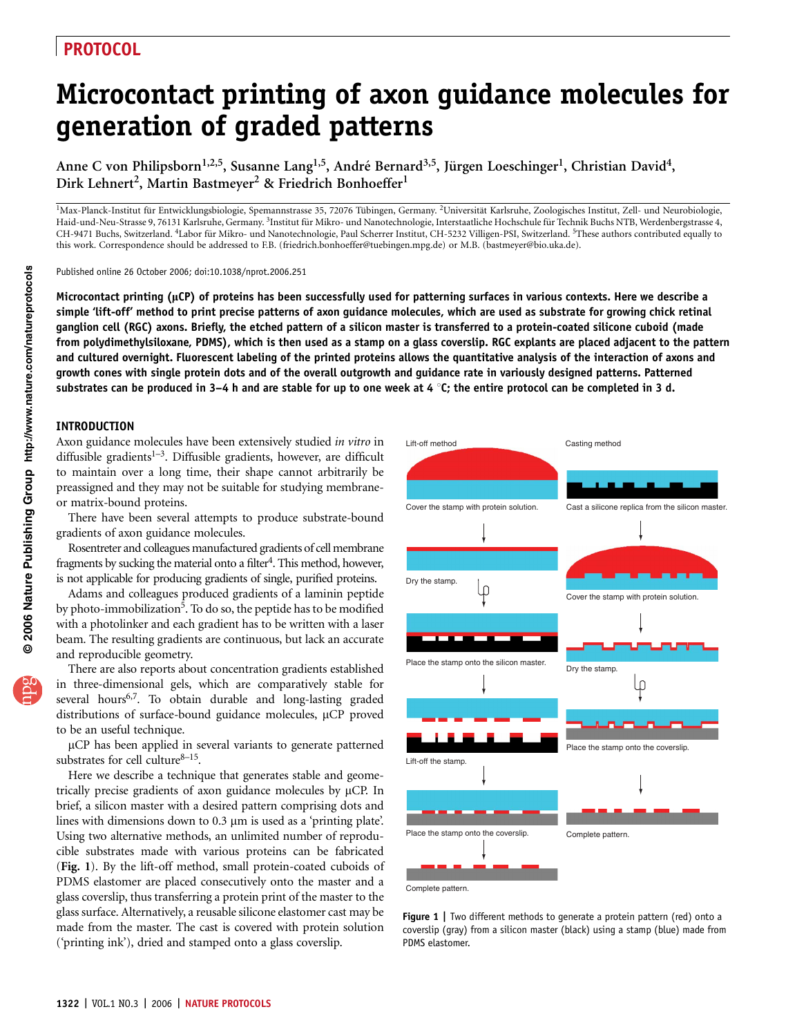# Microcontact printing of axon guidance molecules for generation of graded patterns

Anne C von Philipsborn<sup>1,2,5</sup>, Susanne Lang<sup>1,5</sup>, André Bernard<sup>3,5</sup>, Jürgen Loeschinger<sup>1</sup>, Christian David<sup>4</sup>, Dirk Lehnert<sup>2</sup>, Martin Bastmeyer<sup>2</sup> & Friedrich Bonhoeffer<sup>1</sup>

<sup>1</sup>Max-Planck-Institut für Entwicklungsbiologie, Spemannstrasse 35, 72076 Tübingen, Germany. <sup>2</sup>Universität Karlsruhe, Zoologisches Institut, Zell- und Neurobiologie, Haid-und-Neu-Strasse 9, 76131 Karlsruhe, Germany. <sup>3</sup>Institut für Mikro- und Nanotechnologie, Interstaatliche Hochschule für Technik Buchs NTB, Werdenbergstrasse 4, CH-9471 Buchs, Switzerland. <sup>4</sup>Labor für Mikro- und Nanotechnologie, Paul Scherrer Institut, CH-5232 Villigen-PSI, Switzerland. <sup>5</sup>These authors contributed equally to this work. Correspondence should be addressed to F.B. (friedrich.bonhoeffer@tuebingen.mpg.de) or M.B. (bastmeyer@bio.uka.de).

Published online 26 October 2006; doi:10.1038/nprot.2006.251

Microcontact printing (*l*CP) of proteins has been successfully used for patterning surfaces in various contexts. Here we describe a simple 'lift-off' method to print precise patterns of axon guidance molecules, which are used as substrate for growing chick retinal ganglion cell (RGC) axons. Briefly, the etched pattern of a silicon master is transferred to a protein-coated silicone cuboid (made from polydimethylsiloxane, PDMS), which is then used as a stamp on a glass coverslip. RGC explants are placed adjacent to the pattern and cultured overnight. Fluorescent labeling of the printed proteins allows the quantitative analysis of the interaction of axons and growth cones with single protein dots and of the overall outgrowth and guidance rate in variously designed patterns. Patterned substrates can be produced in 3–4 h and are stable for up to one week at 4 °C; the entire protocol can be completed in 3 d.

#### INTRODUCTION

Axon guidance molecules have been extensively studied in vitro in diffusible gradients $1-3$ . Diffusible gradients, however, are difficult to maintain over a long time, their shape cannot arbitrarily be preassigned and they may not be suitable for studying membraneor matrix-bound proteins.

There have been several attempts to produce substrate-bound gradients of axon guidance molecules.

Rosentreter and colleagues manufactured gradients of cell membrane fragments by sucking the material onto a filter<sup>4</sup>. This method, however, is not applicable for producing gradients of single, purified proteins.

Adams and colleagues produced gradients of a laminin peptide by photo-immobilization<sup>5</sup>. To do so, the peptide has to be modified with a photolinker and each gradient has to be written with a laser beam. The resulting gradients are continuous, but lack an accurate and reproducible geometry.

There are also reports about concentration gradients established in three-dimensional gels, which are comparatively stable for several hours<sup>6,7</sup>. To obtain durable and long-lasting graded distributions of surface-bound guidance molecules,  $\mu$ CP proved to be an useful technique.

 $\mu$ CP has been applied in several variants to generate patterned substrates for cell culture $8-15$ .

Here we describe a technique that generates stable and geometrically precise gradients of axon guidance molecules by  $\mu$ CP. In brief, a silicon master with a desired pattern comprising dots and lines with dimensions down to  $0.3 \mu m$  is used as a 'printing plate'. Using two alternative methods, an unlimited number of reproducible substrates made with various proteins can be fabricated (Fig. 1). By the lift-off method, small protein-coated cuboids of PDMS elastomer are placed consecutively onto the master and a glass coverslip, thus transferring a protein print of the master to the glass surface. Alternatively, a reusable silicone elastomer cast may be made from the master. The cast is covered with protein solution ('printing ink'), dried and stamped onto a glass coverslip.



Complete pattern.

Figure 1 | Two different methods to generate a protein pattern (red) onto a coverslip (gray) from a silicon master (black) using a stamp (blue) made from PDMS elastomer.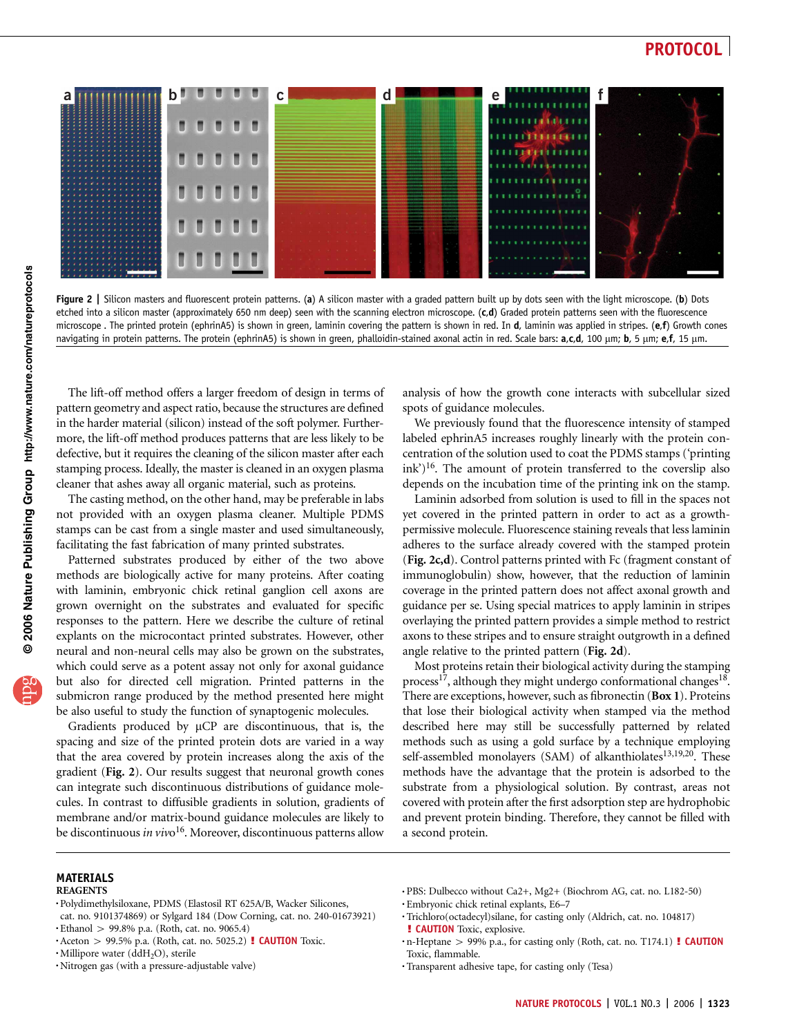

Figure 2 | Silicon masters and fluorescent protein patterns. (a) A silicon master with a graded pattern built up by dots seen with the light microscope. (b) Dots etched into a silicon master (approximately 650 nm deep) seen with the scanning electron microscope. (c,d) Graded protein patterns seen with the fluorescence microscope. The printed protein (ephrinA5) is shown in green, laminin covering the pattern is shown in red. In d, laminin was applied in stripes. (e,f) Growth cones navigating in protein patterns. The protein (ephrinA5) is shown in green, phalloidin-stained axonal actin in red. Scale bars: a,c,d, 100 µm; b, 5 µm; e,f, 15 µm.

The lift-off method offers a larger freedom of design in terms of pattern geometry and aspect ratio, because the structures are defined in the harder material (silicon) instead of the soft polymer. Furthermore, the lift-off method produces patterns that are less likely to be defective, but it requires the cleaning of the silicon master after each stamping process. Ideally, the master is cleaned in an oxygen plasma cleaner that ashes away all organic material, such as proteins.

The casting method, on the other hand, may be preferable in labs not provided with an oxygen plasma cleaner. Multiple PDMS stamps can be cast from a single master and used simultaneously, facilitating the fast fabrication of many printed substrates.

Patterned substrates produced by either of the two above methods are biologically active for many proteins. After coating with laminin, embryonic chick retinal ganglion cell axons are grown overnight on the substrates and evaluated for specific responses to the pattern. Here we describe the culture of retinal explants on the microcontact printed substrates. However, other neural and non-neural cells may also be grown on the substrates, which could serve as a potent assay not only for axonal guidance but also for directed cell migration. Printed patterns in the submicron range produced by the method presented here might be also useful to study the function of synaptogenic molecules.

Gradients produced by  $\mu CP$  are discontinuous, that is, the spacing and size of the printed protein dots are varied in a way that the area covered by protein increases along the axis of the gradient (Fig. 2). Our results suggest that neuronal growth cones can integrate such discontinuous distributions of guidance molecules. In contrast to diffusible gradients in solution, gradients of membrane and/or matrix-bound guidance molecules are likely to be discontinuous in vivo<sup>16</sup>. Moreover, discontinuous patterns allow analysis of how the growth cone interacts with subcellular sized spots of guidance molecules.

We previously found that the fluorescence intensity of stamped labeled ephrinA5 increases roughly linearly with the protein concentration of the solution used to coat the PDMS stamps ('printing  $ink$ <sup>16</sup>. The amount of protein transferred to the coverslip also depends on the incubation time of the printing ink on the stamp.

Laminin adsorbed from solution is used to fill in the spaces not yet covered in the printed pattern in order to act as a growthpermissive molecule. Fluorescence staining reveals that less laminin adheres to the surface already covered with the stamped protein (Fig. 2c,d). Control patterns printed with Fc (fragment constant of immunoglobulin) show, however, that the reduction of laminin coverage in the printed pattern does not affect axonal growth and guidance per se. Using special matrices to apply laminin in stripes overlaying the printed pattern provides a simple method to restrict axons to these stripes and to ensure straight outgrowth in a defined angle relative to the printed pattern (Fig. 2d).

Most proteins retain their biological activity during the stamping process<sup>17</sup>, although they might undergo conformational changes<sup>18</sup>. There are exceptions, however, such as fibronectin (Box 1). Proteins that lose their biological activity when stamped via the method described here may still be successfully patterned by related methods such as using a gold surface by a technique employing self-assembled monolayers (SAM) of alkanthiolates<sup>13,19,20</sup>. These methods have the advantage that the protein is adsorbed to the substrate from a physiological solution. By contrast, areas not covered with protein after the first adsorption step are hydrophobic and prevent protein binding. Therefore, they cannot be filled with a second protein.

### MATERIALS

#### **REAGENTS**

- .Polydimethylsiloxane, PDMS (Elastosil RT 625A/B, Wacker Silicones,
- cat. no. 9101374869) or Sylgard 184 (Dow Corning, cat. no. 240-01673921)
- Aceton > 99.5% p.a. (Roth, cat. no. 5025.2) **! CAUTION** Toxic. <br>• Millipore water (ddH<sub>2</sub>O), sterile **.**Nitrogen gas (with a pressure-adjustable valve)
- 
- 
- .PBS: Dulbecco without Ca2+, Mg2+ (Biochrom AG, cat. no. L182-50)
- .Embryonic chick retinal explants, E6–7
- .Trichloro(octadecyl)silane, for casting only (Aldrich, cat. no. 104817)
- **! CAUTION** Toxic, explosive.<br> **The Heptane > 99% p.a., for casting only (Roth, cat. no. T174.1) <b>! CAUTION** Toxic, flammable.
- .Transparent adhesive tape, for casting only (Tesa)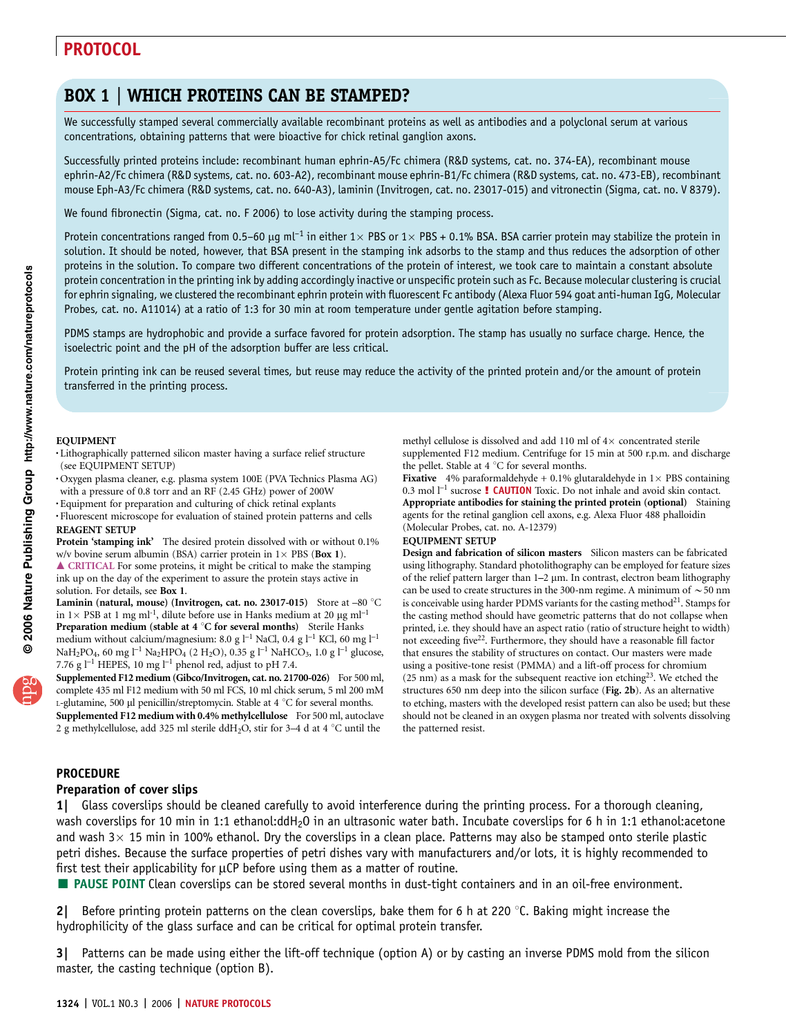### BOX 1 | WHICH PROTEINS CAN BE STAMPED?

We successfully stamped several commercially available recombinant proteins as well as antibodies and a polyclonal serum at various concentrations, obtaining patterns that were bioactive for chick retinal ganglion axons.

Successfully printed proteins include: recombinant human ephrin-A5/Fc chimera (R&D systems, cat. no. 374-EA), recombinant mouse ephrin-A2/Fc chimera (R&D systems, cat. no. 603-A2), recombinant mouse ephrin-B1/Fc chimera (R&D systems, cat. no. 473-EB), recombinant mouse Eph-A3/Fc chimera (R&D systems, cat. no. 640-A3), laminin (Invitrogen, cat. no. 23017-015) and vitronectin (Sigma, cat. no. V 8379).

We found fibronectin (Sigma, cat. no. F 2006) to lose activity during the stamping process.

Protein concentrations ranged from 0.5–60 µg ml<sup>-1</sup> in either 1× PBS or 1× PBS + 0.1% BSA. BSA carrier protein may stabilize the protein in solution. It should be noted, however, that BSA present in the stamping ink adsorbs to the stamp and thus reduces the adsorption of other proteins in the solution. To compare two different concentrations of the protein of interest, we took care to maintain a constant absolute protein concentration in the printing ink by adding accordingly inactive or unspecific protein such as Fc. Because molecular clustering is crucial for ephrin signaling, we clustered the recombinant ephrin protein with fluorescent Fc antibody (Alexa Fluor 594 goat anti-human IgG, Molecular Probes, cat. no. A11014) at a ratio of 1:3 for 30 min at room temperature under gentle agitation before stamping.

PDMS stamps are hydrophobic and provide a surface favored for protein adsorption. The stamp has usually no surface charge. Hence, the isoelectric point and the pH of the adsorption buffer are less critical.

Protein printing ink can be reused several times, but reuse may reduce the activity of the printed protein and/or the amount of protein transferred in the printing process.

#### EQUIPMENT

- .Lithographically patterned silicon master having a surface relief structure (see EQUIPMENT SETUP)
- .Oxygen plasma cleaner, e.g. plasma system 100E (PVA Technics Plasma AG) with a pressure of 0.8 torr and an RF (2.45 GHz) power of 200W
- .Equipment for preparation and culturing of chick retinal explants
- .Fluorescent microscope for evaluation of stained protein patterns and cells REAGENT SETUP

Protein 'stamping ink' The desired protein dissolved with or without 0.1% w/v bovine serum albumin (BSA) carrier protein in  $1 \times PBS$  (Box 1).  $\triangle$  CRITICAL For some proteins, it might be critical to make the stamping ink up on the day of the experiment to assure the protein stays active in

solution. For details, see Box 1. Laminin (natural, mouse) (Invitrogen, cat. no. 23017-015) Store at  $-80$  °C in  $1 \times$  PSB at 1 mg ml<sup>-1</sup>, dilute before use in Hanks medium at 20 µg ml<sup>-1</sup> **Preparation medium (stable at 4**  $^{\circ}$ **C for several months)** Sterile Hanks medium without calcium/magnesium: 8.0 g  $]^{-1}$  NaCl, 0.4 g  $]^{-1}$  KCl, 60 mg  $]^{-1}$ NaH<sub>2</sub>PO<sub>4</sub>, 60 mg l<sup>-1</sup> Na<sub>2</sub>HPO<sub>4</sub> (2 H<sub>2</sub>O), 0.35 g l<sup>-1</sup> NaHCO<sub>3</sub>, 1.0 g l<sup>-1</sup> glucose, 7.76 g  $l^{-1}$  HEPES, 10 mg  $l^{-1}$  phenol red, adjust to pH 7.4.

Supplemented F12 medium (Gibco/Invitrogen, cat. no. 21700-026) For 500 ml, complete 435 ml F12 medium with 50 ml FCS, 10 ml chick serum, 5 ml 200 mM L-glutamine, 500  $\mu$ l penicillin/streptomycin. Stable at 4 °C for several months. Supplemented F12 medium with 0.4% methylcellulose For 500 ml, autoclave 2 g methylcellulose, add 325 ml sterile ddH<sub>2</sub>O, stir for 3–4 d at 4  $^{\circ}$ C until the

methyl cellulose is dissolved and add 110 ml of  $4\times$  concentrated sterile supplemented F12 medium. Centrifuge for 15 min at 500 r.p.m. and discharge the pellet. Stable at  $4^{\circ}$ C for several months.

Fixative 4% paraformaldehyde + 0.1% glutaraldehyde in  $1 \times$  PBS containing 0.3 mol  $l^{-1}$  sucrose **! CAUTION** Toxic. Do not inhale and avoid skin contact. Appropriate antibodies for staining the printed protein (optional) Staining agents for the retinal ganglion cell axons, e.g. Alexa Fluor 488 phalloidin (Molecular Probes, cat. no. A-12379)

#### EQUIPMENT SETUP

Design and fabrication of silicon masters Silicon masters can be fabricated using lithography. Standard photolithography can be employed for feature sizes of the relief pattern larger than 1–2 mm. In contrast, electron beam lithography can be used to create structures in the 300-nm regime. A minimum of  $\sim$  50 nm is conceivable using harder PDMS variants for the casting method<sup>21</sup>. Stamps for the casting method should have geometric patterns that do not collapse when printed, i.e. they should have an aspect ratio (ratio of structure height to width) not exceeding five22. Furthermore, they should have a reasonable fill factor that ensures the stability of structures on contact. Our masters were made using a positive-tone resist (PMMA) and a lift-off process for chromium (25 nm) as a mask for the subsequent reactive ion etching<sup>23</sup>. We etched the structures 650 nm deep into the silicon surface (Fig. 2b). As an alternative to etching, masters with the developed resist pattern can also be used; but these should not be cleaned in an oxygen plasma nor treated with solvents dissolving the patterned resist.

#### **PROCEDURE**

#### Preparation of cover slips

1| Glass coverslips should be cleaned carefully to avoid interference during the printing process. For a thorough cleaning, wash coverslips for 10 min in 1:1 ethanol:ddH<sub>2</sub>O in an ultrasonic water bath. Incubate coverslips for 6 h in 1:1 ethanol:acetone and wash  $3 \times 15$  min in 100% ethanol. Dry the coverslips in a clean place. Patterns may also be stamped onto sterile plastic petri dishes. Because the surface properties of petri dishes vary with manufacturers and/or lots, it is highly recommended to first test their applicability for  $\mu$ CP before using them as a matter of routine.

**T** PAUSE POINT Clean coverslips can be stored several months in dust-tight containers and in an oil-free environment.

Before printing protein patterns on the clean coverslips, bake them for 6 h at 220 °C. Baking might increase the hydrophilicity of the glass surface and can be critical for optimal protein transfer.

3| Patterns can be made using either the lift-off technique (option A) or by casting an inverse PDMS mold from the silicon master, the casting technique (option B).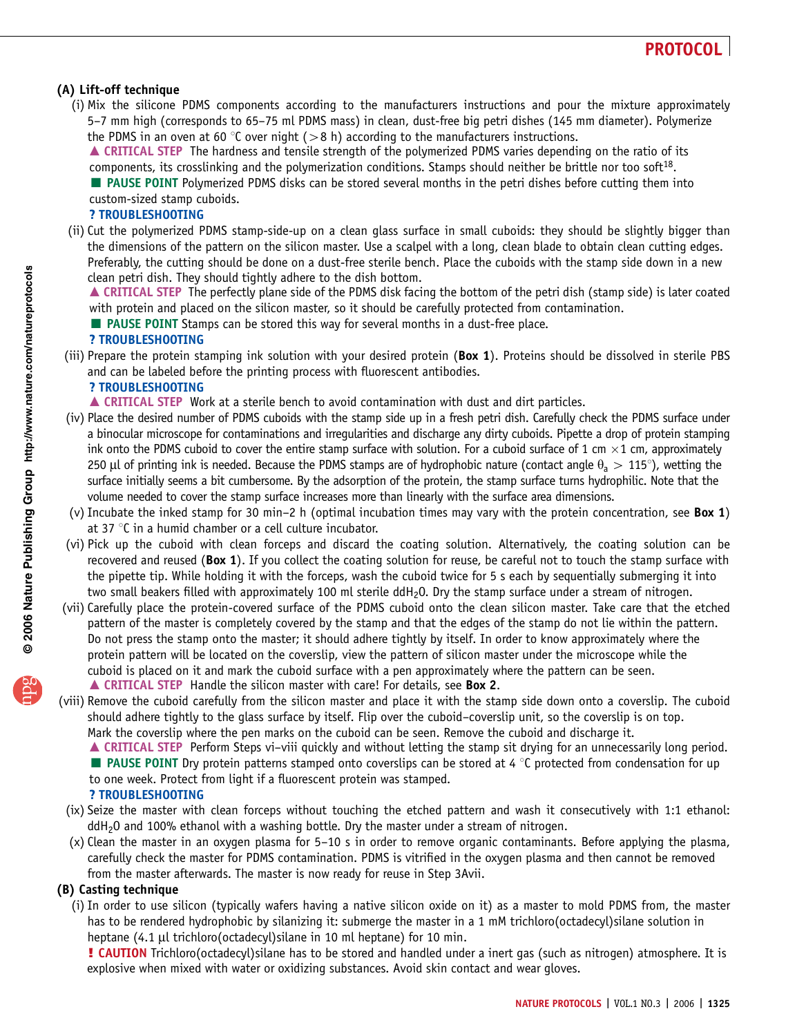### (A) Lift-off technique

(i) Mix the silicone PDMS components according to the manufacturers instructions and pour the mixture approximately 5–7 mm high (corresponds to 65–75 ml PDMS mass) in clean, dust-free big petri dishes (145 mm diameter). Polymerize the PDMS in an oven at 60 °C over night ( $>8$  h) according to the manufacturers instructions.

▲ CRITICAL STEP The hardness and tensile strength of the polymerized PDMS varies depending on the ratio of its components, its crosslinking and the polymerization conditions. Stamps should neither be brittle nor too soft<sup>18</sup>.

**E** PAUSE POINT Polymerized PDMS disks can be stored several months in the petri dishes before cutting them into custom-sized stamp cuboids.

#### ? TROUBLESHOOTING

(ii) Cut the polymerized PDMS stamp-side-up on a clean glass surface in small cuboids: they should be slightly bigger than the dimensions of the pattern on the silicon master. Use a scalpel with a long, clean blade to obtain clean cutting edges. Preferably, the cutting should be done on a dust-free sterile bench. Place the cuboids with the stamp side down in a new clean petri dish. They should tightly adhere to the dish bottom.

■ CRITICAL STEP The perfectly plane side of the PDMS disk facing the bottom of the petri dish (stamp side) is later coated with protein and placed on the silicon master, so it should be carefully protected from contamination.

**E** PAUSE POINT Stamps can be stored this way for several months in a dust-free place.

### ? TROUBLESHOOTING

(iii) Prepare the protein stamping ink solution with your desired protein (Box 1). Proteins should be dissolved in sterile PBS and can be labeled before the printing process with fluorescent antibodies.

#### ? TROUBLESHOOTING

- ▲ CRITICAL STEP Work at a sterile bench to avoid contamination with dust and dirt particles.
- (iv) Place the desired number of PDMS cuboids with the stamp side up in a fresh petri dish. Carefully check the PDMS surface under a binocular microscope for contaminations and irregularities and discharge any dirty cuboids. Pipette a drop of protein stamping ink onto the PDMS cuboid to cover the entire stamp surface with solution. For a cuboid surface of 1 cm  $\times$ 1 cm, approximately 250 µl of printing ink is needed. Because the PDMS stamps are of hydrophobic nature (contact angle  $\theta_a > 115^\circ$ ), wetting the surface initially seems a bit cumbersome. By the adsorption of the protein, the stamp surface turns hydrophilic. Note that the volume needed to cover the stamp surface increases more than linearly with the surface area dimensions.
- (v) Incubate the inked stamp for 30 min–2 h (optimal incubation times may vary with the protein concentration, see Box 1) at 37  $\degree$ C in a humid chamber or a cell culture incubator.
- (vi) Pick up the cuboid with clean forceps and discard the coating solution. Alternatively, the coating solution can be recovered and reused ( $Box 1$ ). If you collect the coating solution for reuse, be careful not to touch the stamp surface with the pipette tip. While holding it with the forceps, wash the cuboid twice for 5 s each by sequentially submerging it into two small beakers filled with approximately 100 ml sterile ddH<sub>2</sub>O. Dry the stamp surface under a stream of nitrogen.
- (vii) Carefully place the protein-covered surface of the PDMS cuboid onto the clean silicon master. Take care that the etched pattern of the master is completely covered by the stamp and that the edges of the stamp do not lie within the pattern. Do not press the stamp onto the master; it should adhere tightly by itself. In order to know approximately where the protein pattern will be located on the coverslip, view the pattern of silicon master under the microscope while the cuboid is placed on it and mark the cuboid surface with a pen approximately where the pattern can be seen. ▲ CRITICAL STEP Handle the silicon master with care! For details, see Box 2.
- (viii) Remove the cuboid carefully from the silicon master and place it with the stamp side down onto a coverslip. The cuboid should adhere tightly to the glass surface by itself. Flip over the cuboid–coverslip unit, so the coverslip is on top. Mark the coverslip where the pen marks on the cuboid can be seen. Remove the cuboid and discharge it.

▲ CRITICAL STEP Perform Steps vi–viii quickly and without letting the stamp sit drying for an unnecessarily long period. **PAUSE POINT** Dry protein patterns stamped onto coverslips can be stored at 4  $\degree$ C protected from condensation for up to one week. Protect from light if a fluorescent protein was stamped.

- ? TROUBLESHOOTING
- (ix) Seize the master with clean forceps without touching the etched pattern and wash it consecutively with 1:1 ethanol:  $ddH<sub>2</sub>O$  and 100% ethanol with a washing bottle. Dry the master under a stream of nitrogen.
- (x) Clean the master in an oxygen plasma for 5–10 s in order to remove organic contaminants. Before applying the plasma, carefully check the master for PDMS contamination. PDMS is vitrified in the oxygen plasma and then cannot be removed from the master afterwards. The master is now ready for reuse in Step 3Avii.

### (B) Casting technique

(i) In order to use silicon (typically wafers having a native silicon oxide on it) as a master to mold PDMS from, the master has to be rendered hydrophobic by silanizing it: submerge the master in a 1 mM trichloro(octadecyl)silane solution in heptane (4.1 µl trichloro(octadecyl)silane in 10 ml heptane) for 10 min.

! CAUTION Trichloro(octadecyl)silane has to be stored and handled under a inert gas (such as nitrogen) atmosphere. It is explosive when mixed with water or oxidizing substances. Avoid skin contact and wear gloves.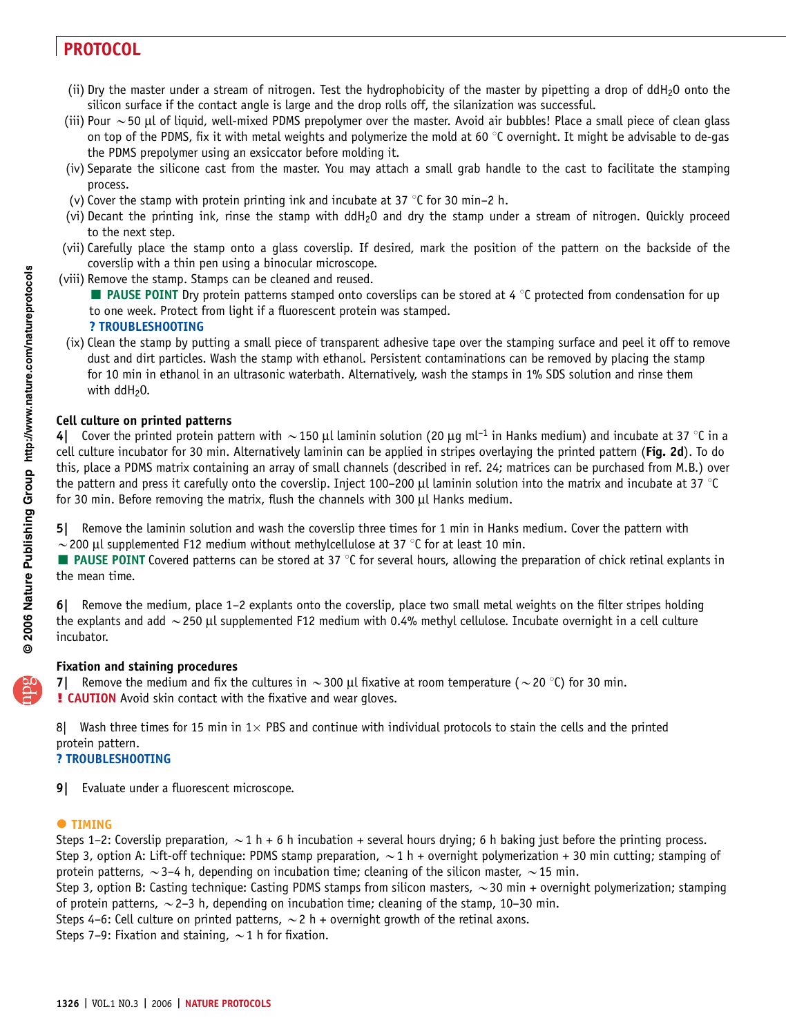- (ii) Dry the master under a stream of nitrogen. Test the hydrophobicity of the master by pipetting a drop of ddH<sub>2</sub>O onto the silicon surface if the contact angle is large and the drop rolls off, the silanization was successful.
- (iii) Pour  $\sim$  50 µl of liquid, well-mixed PDMS prepolymer over the master. Avoid air bubbles! Place a small piece of clean glass on top of the PDMS, fix it with metal weights and polymerize the mold at 60 °C overnight. It might be advisable to de-gas the PDMS prepolymer using an exsiccator before molding it.
- (iv) Separate the silicone cast from the master. You may attach a small grab handle to the cast to facilitate the stamping process.
- (v) Cover the stamp with protein printing ink and incubate at 37  $\degree$ C for 30 min–2 h.
- (vi) Decant the printing ink, rinse the stamp with  $ddH<sub>2</sub>O$  and dry the stamp under a stream of nitrogen. Quickly proceed to the next step.
- (vii) Carefully place the stamp onto a glass coverslip. If desired, mark the position of the pattern on the backside of the coverslip with a thin pen using a binocular microscope.
- (viii) Remove the stamp. Stamps can be cleaned and reused.
	- $\blacksquare$  **PAUSE POINT** Dry protein patterns stamped onto coverslips can be stored at 4  $\degree$ C protected from condensation for up to one week. Protect from light if a fluorescent protein was stamped. ? TROUBLESHOOTING
- (ix) Clean the stamp by putting a small piece of transparent adhesive tape over the stamping surface and peel it off to remove dust and dirt particles. Wash the stamp with ethanol. Persistent contaminations can be removed by placing the stamp for 10 min in ethanol in an ultrasonic waterbath. Alternatively, wash the stamps in 1% SDS solution and rinse them with ddH<sub>2</sub>O.

### Cell culture on printed patterns

4| Cover the printed protein pattern with  $\sim$  150 µl laminin solution (20 µg ml<sup>-1</sup> in Hanks medium) and incubate at 37 °C in a cell culture incubator for 30 min. Alternatively laminin can be applied in stripes overlaying the printed pattern (Fig. 2d). To do this, place a PDMS matrix containing an array of small channels (described in ref. 24; matrices can be purchased from M.B.) over the pattern and press it carefully onto the coverslip. Inject 100–200  $\mu$ l laminin solution into the matrix and incubate at 37 °C for 30 min. Before removing the matrix, flush the channels with 300  $\mu$ l Hanks medium.

5| Remove the laminin solution and wash the coverslip three times for 1 min in Hanks medium. Cover the pattern with  $\sim$  200 µl supplemented F12 medium without methylcellulose at 37 °C for at least 10 min.

**PAUSE POINT** Covered patterns can be stored at 37  $\degree$ C for several hours, allowing the preparation of chick retinal explants in the mean time.

6| Remove the medium, place 1–2 explants onto the coverslip, place two small metal weights on the filter stripes holding the explants and add  $\sim$  250 µl supplemented F12 medium with 0.4% methyl cellulose. Incubate overnight in a cell culture incubator.

### Fixation and staining procedures

7| Remove the medium and fix the cultures in  $\sim$  300 µl fixative at room temperature ( $\sim$  20 °C) for 30 min. **! CAUTION** Avoid skin contact with the fixative and wear gloves.

8| Wash three times for 15 min in 1 $\times$  PBS and continue with individual protocols to stain the cells and the printed protein pattern.

### ? TROUBLESHOOTING

9| Evaluate under a fluorescent microscope.

# $\bullet$  TIMING

Steps 1–2: Coverslip preparation,  $\sim$  1 h + 6 h incubation + several hours drying; 6 h baking just before the printing process. Step 3, option A: Lift-off technique: PDMS stamp preparation,  $\sim 1$  h + overnight polymerization + 30 min cutting; stamping of protein patterns,  $\sim$  3–4 h, depending on incubation time; cleaning of the silicon master,  $\sim$  15 min. Step 3, option B: Casting technique: Casting PDMS stamps from silicon masters,  $\sim$  30 min + overnight polymerization; stamping of protein patterns,  $\sim$  2–3 h, depending on incubation time; cleaning of the stamp, 10–30 min. Steps 4–6: Cell culture on printed patterns,  $\sim$  2 h + overnight growth of the retinal axons. Steps 7-9: Fixation and staining,  $\sim$  1 h for fixation.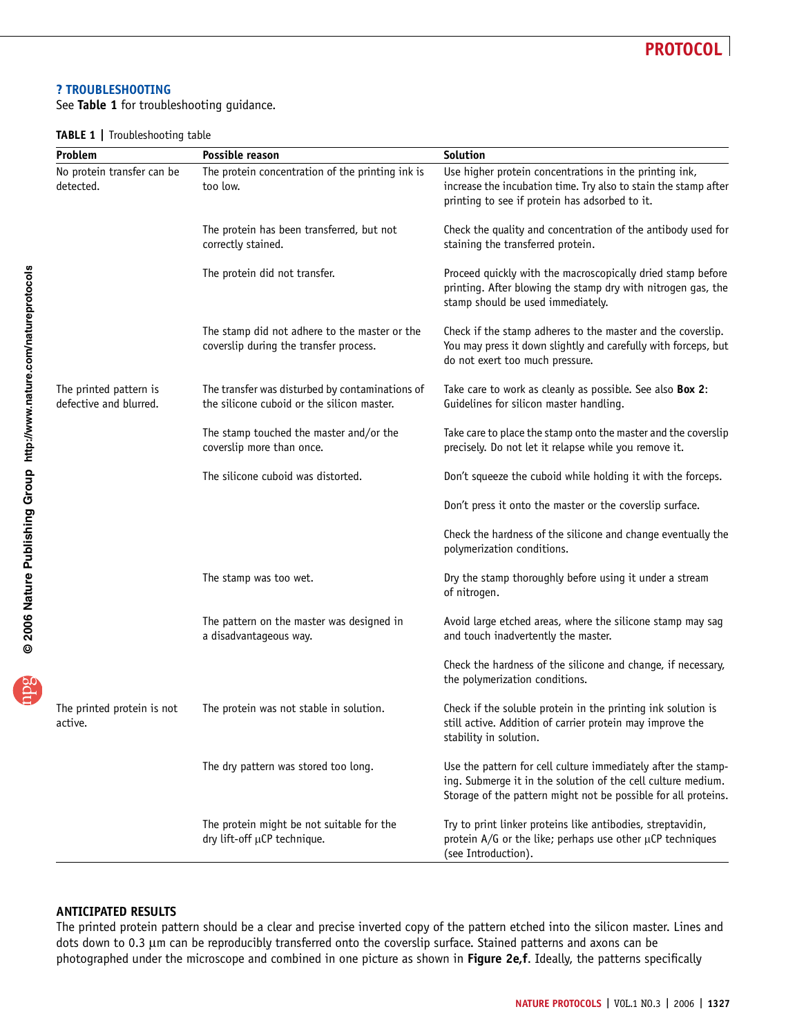#### ? TROUBLESHOOTING

See Table 1 for troubleshooting guidance.

TABLE 1 | Troubleshooting table

| Problem                                          | Possible reason                                                                               | Solution                                                                                                                                                                                        |
|--------------------------------------------------|-----------------------------------------------------------------------------------------------|-------------------------------------------------------------------------------------------------------------------------------------------------------------------------------------------------|
| No protein transfer can be<br>detected.          | The protein concentration of the printing ink is<br>too low.                                  | Use higher protein concentrations in the printing ink,<br>increase the incubation time. Try also to stain the stamp after<br>printing to see if protein has adsorbed to it.                     |
|                                                  | The protein has been transferred, but not<br>correctly stained.                               | Check the quality and concentration of the antibody used for<br>staining the transferred protein.                                                                                               |
|                                                  | The protein did not transfer.                                                                 | Proceed quickly with the macroscopically dried stamp before<br>printing. After blowing the stamp dry with nitrogen gas, the<br>stamp should be used immediately.                                |
|                                                  | The stamp did not adhere to the master or the<br>coverslip during the transfer process.       | Check if the stamp adheres to the master and the coverslip.<br>You may press it down slightly and carefully with forceps, but<br>do not exert too much pressure.                                |
| The printed pattern is<br>defective and blurred. | The transfer was disturbed by contaminations of<br>the silicone cuboid or the silicon master. | Take care to work as cleanly as possible. See also Box 2:<br>Guidelines for silicon master handling.                                                                                            |
|                                                  | The stamp touched the master and/or the<br>coverslip more than once.                          | Take care to place the stamp onto the master and the coverslip<br>precisely. Do not let it relapse while you remove it.                                                                         |
|                                                  | The silicone cuboid was distorted.                                                            | Don't squeeze the cuboid while holding it with the forceps.                                                                                                                                     |
|                                                  |                                                                                               | Don't press it onto the master or the coverslip surface.                                                                                                                                        |
|                                                  |                                                                                               | Check the hardness of the silicone and change eventually the<br>polymerization conditions.                                                                                                      |
|                                                  | The stamp was too wet.                                                                        | Dry the stamp thoroughly before using it under a stream<br>of nitrogen.                                                                                                                         |
|                                                  | The pattern on the master was designed in<br>a disadvantageous way.                           | Avoid large etched areas, where the silicone stamp may sag<br>and touch inadvertently the master.                                                                                               |
|                                                  |                                                                                               | Check the hardness of the silicone and change, if necessary,<br>the polymerization conditions.                                                                                                  |
| The printed protein is not<br>active.            | The protein was not stable in solution.                                                       | Check if the soluble protein in the printing ink solution is<br>still active. Addition of carrier protein may improve the<br>stability in solution.                                             |
|                                                  | The dry pattern was stored too long.                                                          | Use the pattern for cell culture immediately after the stamp-<br>ing. Submerge it in the solution of the cell culture medium.<br>Storage of the pattern might not be possible for all proteins. |
|                                                  | The protein might be not suitable for the<br>dry lift-off µCP technique.                      | Try to print linker proteins like antibodies, streptavidin,<br>protein A/G or the like; perhaps use other µCP techniques<br>(see Introduction).                                                 |

### ANTICIPATED RESULTS

The printed protein pattern should be a clear and precise inverted copy of the pattern etched into the silicon master. Lines and dots down to 0.3 µm can be reproducibly transferred onto the coverslip surface. Stained patterns and axons can be photographed under the microscope and combined in one picture as shown in Figure 2e,f. Ideally, the patterns specifically